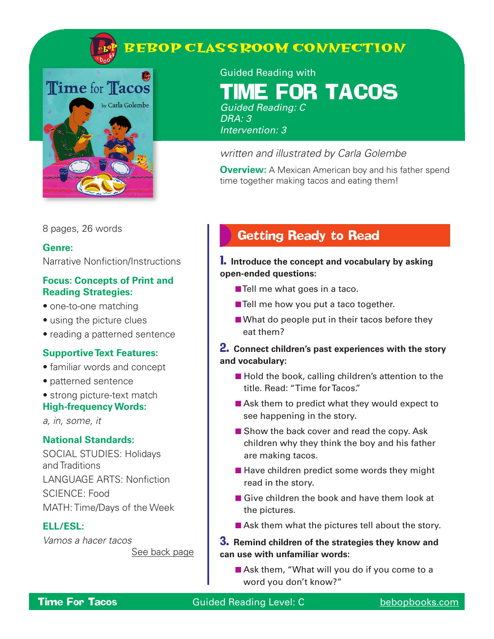

# **BEBOP CLASSROOM CONNECTION**



Guided Reading with **FOR TACOS** Guided Reading: C DRA: 3

Intervention: 3

### written and illustrated by Carla Golembe

**Overview:** A Mexican American boy and his father spend time together making tacos and eating them!

8 pages, 26 words

### **Genre:**

Narrative Nonfiction/Instructions

### **Focus: Concepts of Print and Reading Strategies:**

- one-to-one matching
- using the picture clues
- reading a patterned sentence

### **Supportive Text Features:**

- familiar words and concept
- patterned sentence
- strong picture-text match **High-frequency Words:**

a, in, some, it

### **National Standards:**

SOCIAL STUDIES: Holidays and Traditions LANGUAGE ARTS: Nonfiction SCIENCE: Food MATH: Time/Days of the Week

### **ELL/ESL:**

Vamos a hacer tacos See back page

## Getting Ready to Read

### 1. **Introduce the concept and vocabulary by asking open-ended questions:**

- Tell me what goes in a taco.
- Tell me how you put a taco together.
- What do people put in their tacos before they eat them?

### 2. **Connect children's past experiences with the story and vocabulary:**

- Hold the book, calling children's attention to the title. Read: "Time for Tacos."
- Ask them to predict what they would expect to see happening in the story.
- Show the back cover and read the copy. Ask children why they think the boy and his father are making tacos.
- Have children predict some words they might read in the story.
- Give children the book and have them look at the pictures.
- Ask them what the pictures tell about the story.

### 3. **Remind children of the strategies they know and can use with unfamiliar words:**

■ Ask them, "What will you do if you come to a word you don't know?"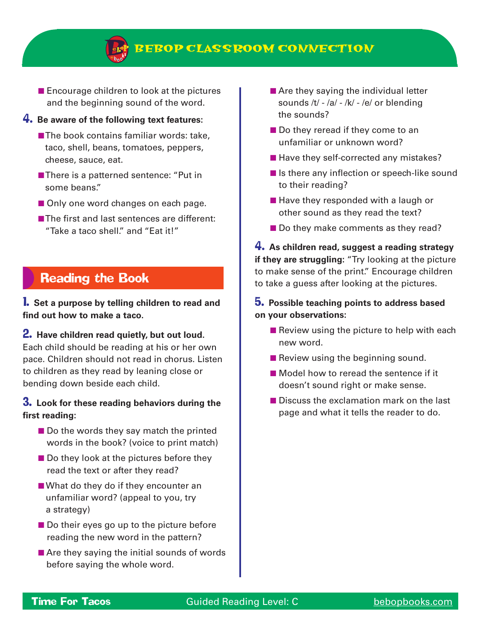

■ Encourage children to look at the pictures and the beginning sound of the word.

### 4. **Be aware of the following text features:**

- The book contains familiar words: take, taco, shell, beans, tomatoes, peppers, cheese, sauce, eat.
- There is a patterned sentence: "Put in some beans."
- Only one word changes on each page.
- The first and last sentences are different: "Take a taco shell." and "Eat it!"

### Reading the Book

1. **Set a purpose by telling children to read and find out how to make a taco.**

#### 2. **Have children read quietly, but out loud.**  Each child should be reading at his or her own

pace. Children should not read in chorus. Listen to children as they read by leaning close or bending down beside each child.

### 3. **Look for these reading behaviors during the first reading:**

- Do the words they say match the printed words in the book? (voice to print match)
- Do they look at the pictures before they read the text or after they read?
- What do they do if they encounter an unfamiliar word? (appeal to you, try a strategy)
- Do their eyes go up to the picture before reading the new word in the pattern?
- Are they saying the initial sounds of words before saying the whole word.
- Are they saying the individual letter sounds /t/ - /a/ - /k/ - /e/ or blending the sounds?
- Do they reread if they come to an unfamiliar or unknown word?
- Have they self-corrected any mistakes?
- Is there any inflection or speech-like sound to their reading?
- Have they responded with a laugh or other sound as they read the text?
- Do they make comments as they read?

4. **As children read, suggest a reading strategy if they are struggling:** "Try looking at the picture to make sense of the print." Encourage children to take a guess after looking at the pictures.

### 5. **Possible teaching points to address based on your observations:**

- $\blacksquare$  Review using the picture to help with each new word.
- Review using the beginning sound.
- Model how to reread the sentence if it doesn't sound right or make sense.
- Discuss the exclamation mark on the last page and what it tells the reader to do.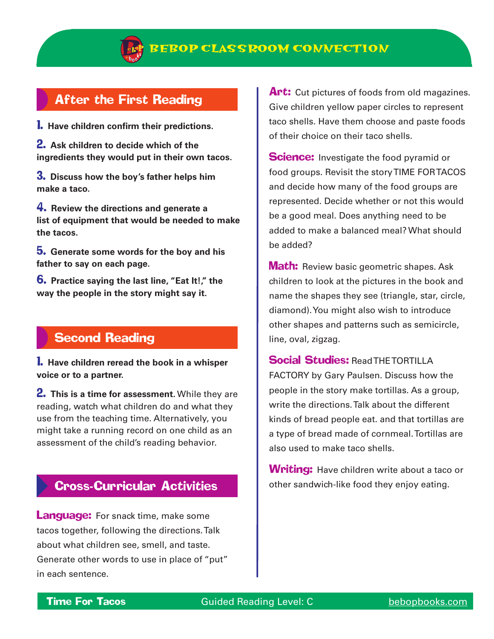

## After the First Reading

1. **Have children confirm their predictions.**

2. **Ask children to decide which of the ingredients they would put in their own tacos.**

3. **Discuss how the boy's father helps him make a taco.** 

4. **Review the directions and generate a list of equipment that would be needed to make the tacos.**

5. **Generate some words for the boy and his father to say on each page.** 

6. **Practice saying the last line, "Eat It!," the way the people in the story might say it.**

## Second Reading

1. **Have children reread the book in a whisper voice or to a partner.**

2. **This is a time for assessment.** While they are reading, watch what children do and what they use from the teaching time. Alternatively, you might take a running record on one child as an assessment of the child's reading behavior.

## Cross-Curricular Activities

**Language:** For snack time, make some tacos together, following the directions. Talk about what children see, smell, and taste. Generate other words to use in place of "put" in each sentence.

Art: Cut pictures of foods from old magazines. Give children yellow paper circles to represent taco shells. Have them choose and paste foods of their choice on their taco shells.

**Science:** Investigate the food pyramid or food groups. Revisit the story TIME FOR TACOS and decide how many of the food groups are represented. Decide whether or not this would be a good meal. Does anything need to be added to make a balanced meal? What should be added?

**Math:** Review basic geometric shapes. Ask children to look at the pictures in the book and name the shapes they see (triangle, star, circle, diamond). You might also wish to introduce other shapes and patterns such as semicircle, line, oval, zigzag.

## **Social Studies: Read THE TORTILLA**

FACTORY by Gary Paulsen. Discuss how the people in the story make tortillas. As a group, write the directions. Talk about the different kinds of bread people eat. and that tortillas are a type of bread made of cornmeal. Tortillas are also used to make taco shells.

**Writing:** Have children write about a taco or other sandwich-like food they enjoy eating.